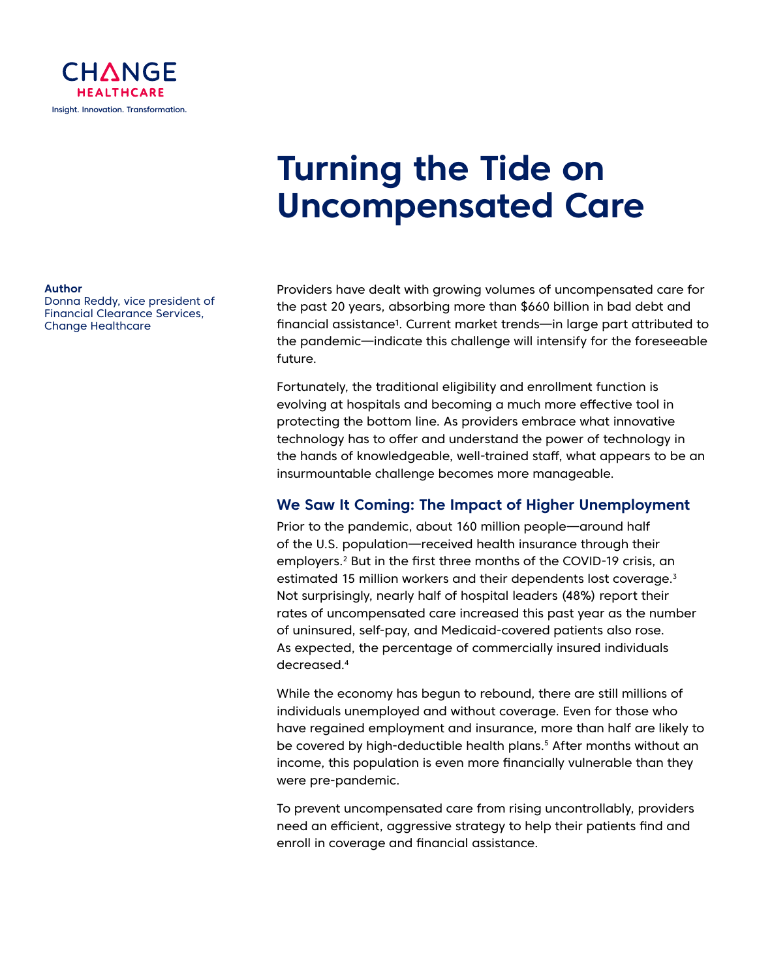

# **Turning the Tide on Uncompensated Care**

#### Providers have dealt with growing volumes of uncompensated care for the past 20 years, absorbing more than \$660 billion in bad debt and financial assistance<sup>1</sup>. Current market trends—in large part attributed to the pandemic—indicate this challenge will intensify for the foreseeable future.

Fortunately, the traditional eligibility and enrollment function is evolving at hospitals and becoming a much more effective tool in protecting the bottom line. As providers embrace what innovative technology has to offer and understand the power of technology in the hands of knowledgeable, well-trained staff, what appears to be an insurmountable challenge becomes more manageable.

### **We Saw It Coming: The Impact of Higher Unemployment**

Prior to the pandemic, about 160 million people—around half of the U.S. population—received health insurance through their employers.<sup>2</sup> But in the first three months of the COVID-19 crisis, an estimated 15 million workers and their dependents lost coverage.<sup>3</sup> Not surprisingly, nearly half of hospital leaders (48%) report their rates of uncompensated care increased this past year as the number of uninsured, self-pay, and Medicaid-covered patients also rose. As expected, the percentage of commercially insured individuals decreased.4

While the economy has begun to rebound, there are still millions of individuals unemployed and without coverage. Even for those who have regained employment and insurance, more than half are likely to be covered by high-deductible health plans.<sup>5</sup> After months without an income, this population is even more financially vulnerable than they were pre-pandemic.

To prevent uncompensated care from rising uncontrollably, providers need an efficient, aggressive strategy to help their patients find and enroll in coverage and financial assistance.

#### **Author**

Donna Reddy, vice president of Financial Clearance Services, Change Healthcare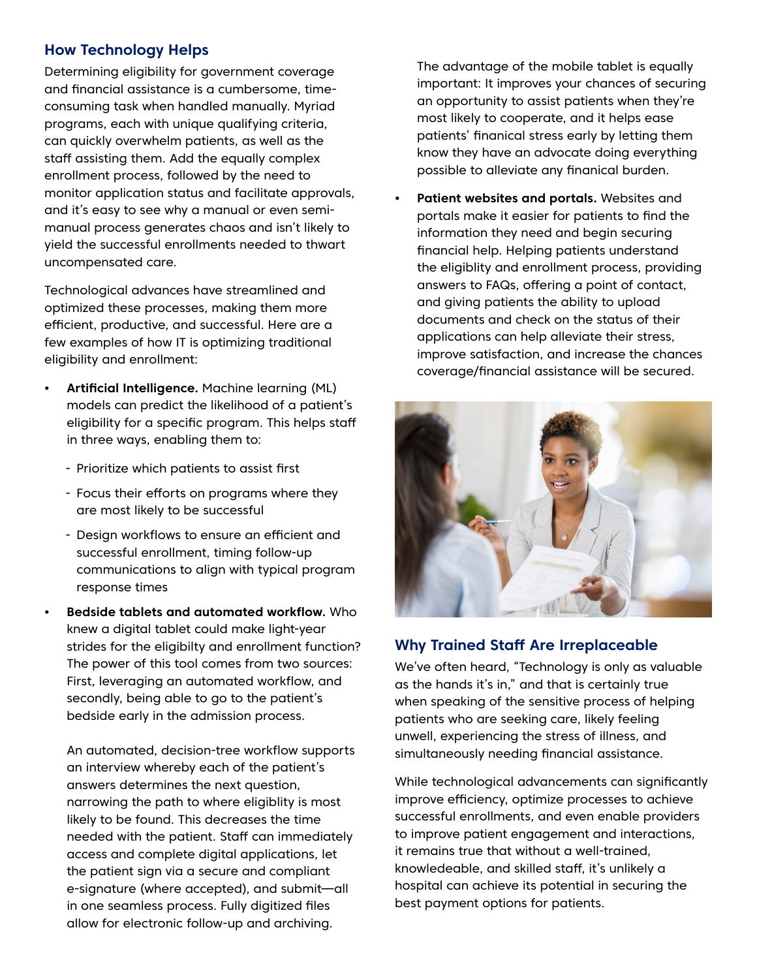### **How Technology Helps**

Determining eligibility for government coverage and financial assistance is a cumbersome, timeconsuming task when handled manually. Myriad programs, each with unique qualifying criteria, can quickly overwhelm patients, as well as the staff assisting them. Add the equally complex enrollment process, followed by the need to monitor application status and facilitate approvals, and it's easy to see why a manual or even semimanual process generates chaos and isn't likely to yield the successful enrollments needed to thwart uncompensated care.

Technological advances have streamlined and optimized these processes, making them more efficient, productive, and successful. Here are a few examples of how IT is optimizing traditional eligibility and enrollment:

- **• Artificial Intelligence.** Machine learning (ML) models can predict the likelihood of a patient's eligibility for a specific program. This helps staff in three ways, enabling them to:
	- Prioritize which patients to assist first
	- Focus their efforts on programs where they are most likely to be successful
	- Design workflows to ensure an efficient and successful enrollment, timing follow-up communications to align with typical program response times
- **• Bedside tablets and automated workflow.** Who knew a digital tablet could make light-year strides for the eligibilty and enrollment function? The power of this tool comes from two sources: First, leveraging an automated workflow, and secondly, being able to go to the patient's bedside early in the admission process.

An automated, decision-tree workflow supports an interview whereby each of the patient's answers determines the next question, narrowing the path to where eligiblity is most likely to be found. This decreases the time needed with the patient. Staff can immediately access and complete digital applications, let the patient sign via a secure and compliant e-signature (where accepted), and submit—all in one seamless process. Fully digitized files allow for electronic follow-up and archiving.

The advantage of the mobile tablet is equally important: It improves your chances of securing an opportunity to assist patients when they're most likely to cooperate, and it helps ease patients' finanical stress early by letting them know they have an advocate doing everything possible to alleviate any finanical burden.

**• Patient websites and portals.** Websites and portals make it easier for patients to find the information they need and begin securing financial help. Helping patients understand the eligiblity and enrollment process, providing answers to FAQs, offering a point of contact, and giving patients the ability to upload documents and check on the status of their applications can help alleviate their stress, improve satisfaction, and increase the chances coverage/financial assistance will be secured.



## **Why Trained Staff Are Irreplaceable**

We've often heard, "Technology is only as valuable as the hands it's in," and that is certainly true when speaking of the sensitive process of helping patients who are seeking care, likely feeling unwell, experiencing the stress of illness, and simultaneously needing financial assistance.

While technological advancements can significantly improve efficiency, optimize processes to achieve successful enrollments, and even enable providers to improve patient engagement and interactions, it remains true that without a well-trained, knowledeable, and skilled staff, it's unlikely a hospital can achieve its potential in securing the best payment options for patients.